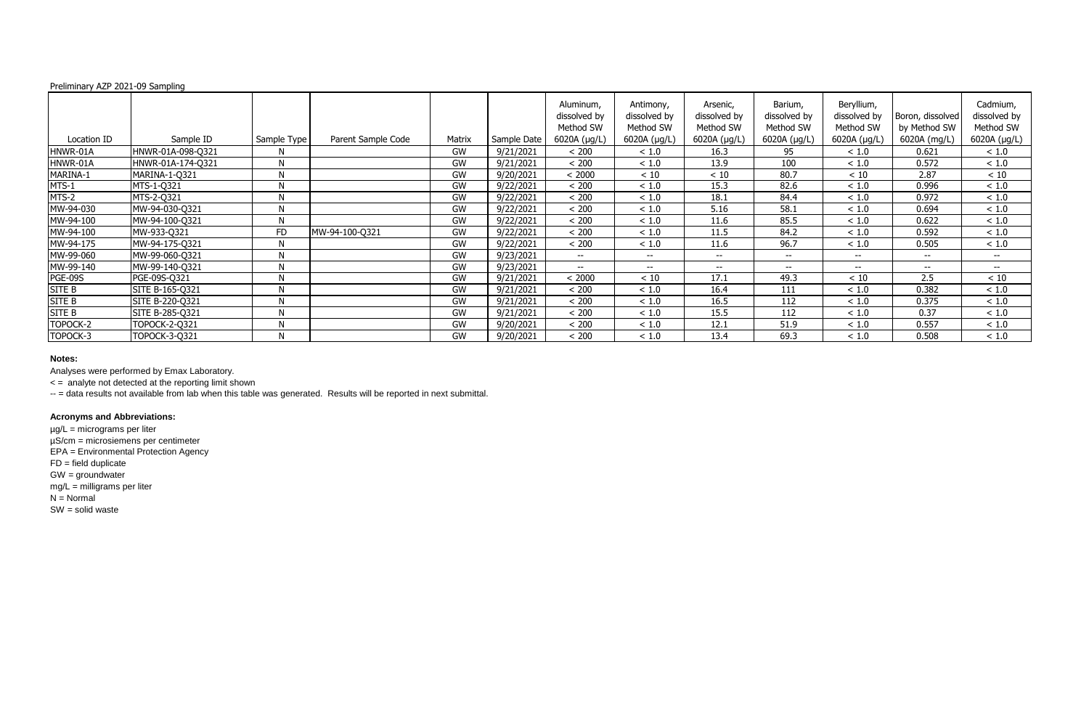| Preliminary AZP 2021-09 Sampling |                   |             |                    |           |             |                                        |                                        |                                       |                                      |                                         |                                  |                                       |
|----------------------------------|-------------------|-------------|--------------------|-----------|-------------|----------------------------------------|----------------------------------------|---------------------------------------|--------------------------------------|-----------------------------------------|----------------------------------|---------------------------------------|
|                                  |                   |             |                    |           |             | Aluminum,<br>dissolved by<br>Method SW | Antimony,<br>dissolved by<br>Method SW | Arsenic,<br>dissolved by<br>Method SW | Barium,<br>dissolved by<br>Method SW | Beryllium,<br>dissolved by<br>Method SW | Boron, dissolved<br>by Method SW | Cadmium,<br>dissolved by<br>Method SW |
| Location ID                      | Sample ID         | Sample Type | Parent Sample Code | Matrix    | Sample Date | 6020A (µg/L)                           | 6020A (µg/L)                           | 6020A (µg/L)                          | 6020A (µg/L)                         | 6020A (µg/L)                            | 6020A (mg/L)                     | 6020A (µg/L)                          |
| HNWR-01A                         | HNWR-01A-098-Q321 | N           |                    | GW        | 9/21/2021   | < 200                                  | < 1.0                                  | 16.3                                  | 95                                   | ~1.0                                    | 0.621                            | < 1.0                                 |
| HNWR-01A                         | HNWR-01A-174-Q321 | N           |                    | <b>GW</b> | 9/21/2021   | < 200                                  | ~1.0                                   | 13.9                                  | 100                                  | < 1.0                                   | 0.572                            | < 1.0                                 |
| MARINA-1                         | MARINA-1-Q321     | N           |                    | GW        | 9/20/2021   | < 2000                                 | < 10                                   | < 10                                  | 80.7                                 | < 10                                    | 2.87                             | < 10                                  |
| MTS-1                            | MTS-1-Q321        | N           |                    | GW        | 9/22/2021   | < 200                                  | < 1.0                                  | 15.3                                  | 82.6                                 | ~< 1.0                                  | 0.996                            | < 1.0                                 |
| MTS-2                            | MTS-2-Q321        | N           |                    | <b>GW</b> | 9/22/2021   | < 200                                  | < 1.0                                  | 18.1                                  | 84.4                                 | ~1.0                                    | 0.972                            | < 1.0                                 |
| MW-94-030                        | MW-94-030-Q321    | N           |                    | GW        | 9/22/2021   | < 200                                  | ~1.0                                   | 5.16                                  | 58.1                                 | ~1.0                                    | 0.694                            | < 1.0                                 |
| MW-94-100                        | MW-94-100-Q321    | N           |                    | GW        | 9/22/2021   | < 200                                  | < 1.0                                  | 11.6                                  | 85.5                                 | $<1.0$                                  | 0.622                            | < 1.0                                 |
| MW-94-100                        | MW-933-Q321       | <b>FD</b>   | MW-94-100-Q321     | GW        | 9/22/2021   | < 200                                  | < 1.0                                  | 11.5                                  | 84.2                                 | < 1.0                                   | 0.592                            | < 1.0                                 |
| MW-94-175                        | MW-94-175-Q321    | N           |                    | GW        | 9/22/2021   | < 200                                  | < 1.0                                  | 11.6                                  | 96.7                                 | < 1.0                                   | 0.505                            | < 1.0                                 |
| MW-99-060                        | MW-99-060-Q321    | N           |                    | GW        | 9/23/2021   | $\overline{\phantom{m}}$               | $- -$                                  | $\overline{\phantom{m}}$              | $- -$                                | $\sim$ $\sim$                           | $- -$                            | $\overline{\phantom{a}}$              |
| MW-99-140                        | MW-99-140-Q321    | N           |                    | GW        | 9/23/2021   | $- -$                                  | $- -$                                  | $-$                                   | $-  \,$                              | $- -$                                   | $-  \,$                          | $- -$                                 |
| PGE-09S                          | PGE-09S-Q321      | N           |                    | GW        | 9/21/2021   | < 2000                                 | < 10                                   | 17.1                                  | 49.3                                 | < 10                                    | 2.5                              | < 10                                  |
| <b>SITE B</b>                    | SITE B-165-Q321   | N           |                    | GW        | 9/21/2021   | < 200                                  | < 1.0                                  | 16.4                                  | 111                                  | ~1.0                                    | 0.382                            | ~1.0                                  |
| SITE B                           | SITE B-220-Q321   | N           |                    | GW        | 9/21/2021   | < 200                                  | < 1.0                                  | 16.5                                  | 112                                  | < 1.0                                   | 0.375                            | < 1.0                                 |
| <b>SITE B</b>                    | SITE B-285-Q321   | N           |                    | GW        | 9/21/2021   | < 200                                  | < 1.0                                  | 15.5                                  | 112                                  | ~1.0                                    | 0.37                             | < 1.0                                 |
| TOPOCK-2                         | TOPOCK-2-Q321     | N           |                    | GW        | 9/20/2021   | < 200                                  | < 1.0                                  | 12.1                                  | 51.9                                 | < 1.0                                   | 0.557                            | < 1.0                                 |
| TOPOCK-3                         | TOPOCK-3-Q321     | N           |                    | GW        | 9/20/2021   | < 200                                  | ~1.0                                   | 13.4                                  | 69.3                                 | < 1.0                                   | 0.508                            | < 1.0                                 |

Analyses were performed by Emax Laboratory.

< = analyte not detected at the reporting limit shown

-- = data results not available from lab when this table was generated. Results will be reported in next submittal.

## **Acronyms and Abbreviations:**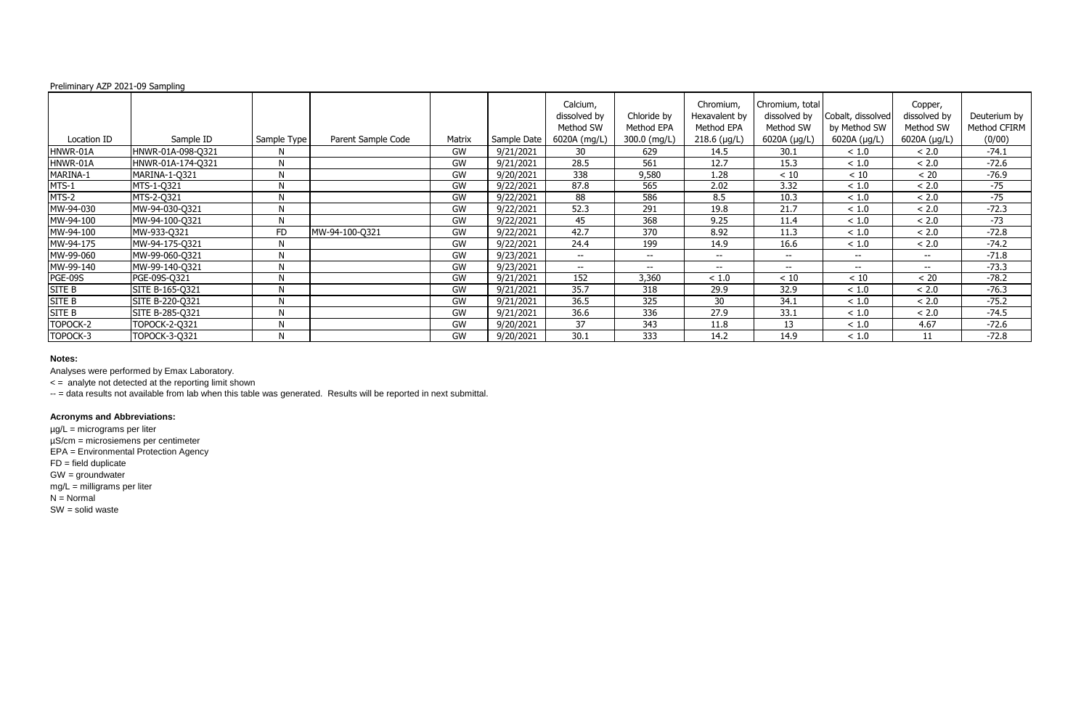Analyses were performed by Emax Laboratory.

< = analyte not detected at the reporting limit shown

-- = data results not available from lab when this table was generated. Results will be reported in next submittal.

## **Acronyms and Abbreviations:**

| Preliminary AZP 2021-09 Sampling |                   |              |                    |           |             |                                       |                           |                                          |                                              |                                   |                                      |                              |
|----------------------------------|-------------------|--------------|--------------------|-----------|-------------|---------------------------------------|---------------------------|------------------------------------------|----------------------------------------------|-----------------------------------|--------------------------------------|------------------------------|
|                                  |                   |              |                    |           |             | Calcium,<br>dissolved by<br>Method SW | Chloride by<br>Method EPA | Chromium,<br>Hexavalent by<br>Method EPA | Chromium, total<br>dissolved by<br>Method SW | Cobalt, dissolved<br>by Method SW | Copper,<br>dissolved by<br>Method SW | Deuterium by<br>Method CFIRM |
| Location ID                      | Sample ID         | Sample Type  | Parent Sample Code | Matrix    | Sample Date | 6020A (mg/L)                          | 300.0 (mg/L)              | $218.6$ (µg/L)                           | 6020A $(\mu g/L)$                            | 6020A (µg/L)                      | 6020A (µg/L)                         | (0/00)                       |
| HNWR-01A                         | HNWR-01A-098-Q321 | N            |                    | GW        | 9/21/2021   | 30                                    | 629                       | 14.5                                     | 30.1                                         | < 1.0                             | < 2.0                                | $-74.1$                      |
| HNWR-01A                         | HNWR-01A-174-Q321 | M            |                    | <b>GW</b> | 9/21/2021   | 28.5                                  | 561                       | 12.7                                     | 15.3                                         | ~1.0                              | < 2.0                                | $-72.6$                      |
| MARINA-1                         | MARINA-1-Q321     | N.           |                    | <b>GW</b> | 9/20/2021   | 338                                   | 9,580                     | 1.28                                     | $<10$                                        | $<10$                             | $< 20$                               | $-76.9$                      |
| MTS-1                            | MTS-1-Q321        | N            |                    | <b>GW</b> | 9/22/2021   | 87.8                                  | 565                       | 2.02                                     | 3.32                                         | < 1.0                             | < 2.0                                | $-75$                        |
| MTS-2                            | MTS-2-Q321        | N            |                    | <b>GW</b> | 9/22/2021   | 88                                    | 586                       | 8.5                                      | 10.3                                         | < 1.0                             | < 2.0                                | $-75$                        |
| MW-94-030                        | MW-94-030-Q321    | M            |                    | GW        | 9/22/2021   | 52.3                                  | 291                       | 19.8                                     | 21.7                                         | < 1.0                             | < 2.0                                | $-72.3$                      |
| MW-94-100                        | MW-94-100-Q321    | N            |                    | GW        | 9/22/2021   | 45                                    | 368                       | 9.25                                     | 11.4                                         | < 1.0                             | < 2.0                                | $-73$                        |
| MW-94-100                        | MW-933-Q321       | <b>FD</b>    | MW-94-100-Q321     | GW        | 9/22/2021   | 42.7                                  | 370                       | 8.92                                     | 11.3                                         | < 1.0                             | < 2.0                                | $-72.8$                      |
| MW-94-175                        | MW-94-175-Q321    | N            |                    | <b>GW</b> | 9/22/2021   | 24.4                                  | 199                       | 14.9                                     | 16.6                                         | < 1.0                             | < 2.0                                | $-74.2$                      |
| MW-99-060                        | MW-99-060-Q321    | $\mathbf{M}$ |                    | <b>GW</b> | 9/23/2021   | $\overline{\phantom{a}}$              | $- -$                     | $-$                                      | $- -$                                        | $\overline{\phantom{a}}$          | $- -$                                | $-71.8$                      |
| MW-99-140                        | MW-99-140-Q321    | N            |                    | GW        | 9/23/2021   | $- -$                                 | $- -$                     | $\overline{\phantom{a}}$                 | $- -$                                        | $\overline{\phantom{a}}$          | $--$                                 | $-73.3$                      |
| PGE-09S                          | PGE-09S-Q321      | N            |                    | GW        | 9/21/2021   | 152                                   | 3,360                     | < 1.0                                    | < 10                                         | < 10                              | < 20                                 | $-78.2$                      |
| <b>SITE B</b>                    | SITE B-165-Q321   | N            |                    | GW        | 9/21/2021   | 35.7                                  | 318                       | 29.9                                     | 32.9                                         | < 1.0                             | < 2.0                                | $-76.3$                      |
| <b>SITE B</b>                    | SITE B-220-Q321   | M            |                    | <b>GW</b> | 9/21/2021   | 36.5                                  | 325                       | 30                                       | 34.1                                         | < 1.0                             | < 2.0                                | $-75.2$                      |
| <b>SITE B</b>                    | SITE B-285-Q321   | N            |                    | GW        | 9/21/2021   | 36.6                                  | 336                       | 27.9                                     | 33.1                                         | < 1.0                             | < 2.0                                | $-74.5$                      |
| TOPOCK-2                         | TOPOCK-2-Q321     | N            |                    | GW        | 9/20/2021   | 37                                    | 343                       | 11.8                                     | 13                                           | < 1.0                             | 4.67                                 | $-72.6$                      |
| TOPOCK-3                         | TOPOCK-3-Q321     | N            |                    | GW        | 9/20/2021   | 30.1                                  | 333                       | 14.2                                     | 14.9                                         | < 1.0                             | 11                                   | $-72.8$                      |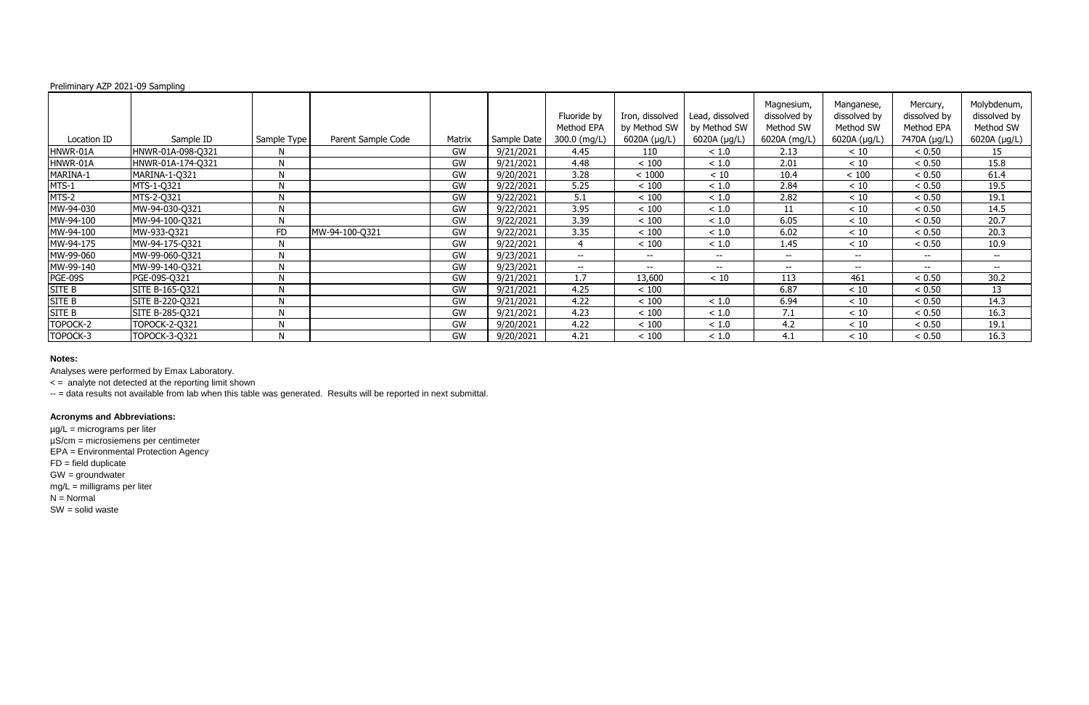Analyses were performed by Emax Laboratory.

< = analyte not detected at the reporting limit shown

-- = data results not available from lab when this table was generated. Results will be reported in next submittal.

## **Acronyms and Abbreviations:**

| Preliminary AZP 2021-09 Sampling |                   |              |                    |           |             |                           |                                 |                                 |                                         |                                         |                                        |                                          |
|----------------------------------|-------------------|--------------|--------------------|-----------|-------------|---------------------------|---------------------------------|---------------------------------|-----------------------------------------|-----------------------------------------|----------------------------------------|------------------------------------------|
|                                  |                   |              |                    |           |             | Fluoride by<br>Method EPA | Iron, dissolved<br>by Method SW | Lead, dissolved<br>by Method SW | Magnesium,<br>dissolved by<br>Method SW | Manganese,<br>dissolved by<br>Method SW | Mercury,<br>dissolved by<br>Method EPA | Molybdenum,<br>dissolved by<br>Method SW |
| Location ID                      | Sample ID         | Sample Type  | Parent Sample Code | Matrix    | Sample Date | 300.0 (mg/L)              | 6020A (µg/L)                    | 6020A (µg/L)                    | 6020A (mg/L)                            | 6020A (µg/L)                            | 7470A (µg/L)                           | 6020A (µg/L)                             |
| HNWR-01A                         | HNWR-01A-098-Q321 | N            |                    | GW        | 9/21/2021   | 4.45                      | 110                             | < 1.0                           | 2.13                                    | < 10                                    | < 0.50                                 | 15                                       |
| HNWR-01A                         | HNWR-01A-174-Q321 | M            |                    | GW        | 9/21/2021   | 4.48                      | $<100$                          | < 1.0                           | 2.01                                    | $<10$                                   | < 0.50                                 | 15.8                                     |
| MARINA-1                         | MARINA-1-Q321     | $\mathbf{M}$ |                    | <b>GW</b> | 9/20/2021   | 3.28                      | < 1000                          | $<10$                           | 10.4                                    | $<100$                                  | < 0.50                                 | 61.4                                     |
| MTS-1                            | MTS-1-Q321        | N            |                    | GW        | 9/22/2021   | 5.25                      | $<100$                          | $<1.0$                          | 2.84                                    | < 10                                    | < 0.50                                 | 19.5                                     |
| MTS-2                            | MTS-2-Q321        | N            |                    | <b>GW</b> | 9/22/2021   | 5.1                       | < 100                           | < 1.0                           | 2.82                                    | $<10$                                   | < 0.50                                 | 19.1                                     |
| MW-94-030                        | MW-94-030-Q321    | $\mathbf{M}$ |                    | GW        | 9/22/2021   | 3.95                      | $<100$                          | < 1.0                           | 11                                      | < 10                                    | < 0.50                                 | 14.5                                     |
| MW-94-100                        | MW-94-100-Q321    | N            |                    | GW        | 9/22/2021   | 3.39                      | $<100$                          | $<1.0$                          | 6.05                                    | < 10                                    | < 0.50                                 | 20.7                                     |
| MW-94-100                        | MW-933-Q321       | <b>FD</b>    | MW-94-100-Q321     | GW        | 9/22/2021   | 3.35                      | $<100$                          | < 1.0                           | 6.02                                    | $<10$                                   | < 0.50                                 | 20.3                                     |
| MW-94-175                        | MW-94-175-Q321    | N            |                    | <b>GW</b> | 9/22/2021   | 4                         | < 100                           | < 1.0                           | 1.45                                    | $<10$                                   | < 0.50                                 | 10.9                                     |
| MW-99-060                        | MW-99-060-Q321    | $\mathbf{M}$ |                    | <b>GW</b> | 9/23/2021   | $--$                      | $\overline{\phantom{a}}$        | $- -$                           | $--$                                    | $--$                                    | $- -$                                  | $-  \,$                                  |
| MW-99-140                        | MW-99-140-Q321    | N            |                    | GW        | 9/23/2021   | $--$                      | $- -$                           | $-$                             | $- -$                                   | $-$                                     | $- -$                                  | $- -$                                    |
| PGE-09S                          | PGE-09S-Q321      | N            |                    | GW        | 9/21/2021   | 1.7                       | 13,600                          | $<10$                           | 113                                     | 461                                     | < 0.50                                 | 30.2                                     |
| <b>SITE B</b>                    | SITE B-165-Q321   | N            |                    | GW        | 9/21/2021   | 4.25                      | $<100$                          |                                 | 6.87                                    | $<10$                                   | < 0.50                                 | 13                                       |
| <b>SITE B</b>                    | SITE B-220-Q321   | <b>NI</b>    |                    | <b>GW</b> | 9/21/2021   | 4.22                      | $<100$                          | < 1.0                           | 6.94                                    | $<10$                                   | < 0.50                                 | 14.3                                     |
| <b>SITE B</b>                    | SITE B-285-Q321   | N            |                    | GW        | 9/21/2021   | 4.23                      | $<100$                          | < 1.0                           | 7.1                                     | $<10$                                   | < 0.50                                 | 16.3                                     |
| TOPOCK-2                         | TOPOCK-2-Q321     | N            |                    | GW        | 9/20/2021   | 4.22                      | $<100$                          | ~1.0                            | 4.2                                     | $<10$                                   | < 0.50                                 | 19.1                                     |
| TOPOCK-3                         | TOPOCK-3-Q321     | N            |                    | GW        | 9/20/2021   | 4.21                      | $<100$                          | ~1.0                            | 4.1                                     | < 10                                    | < 0.50                                 | 16.3                                     |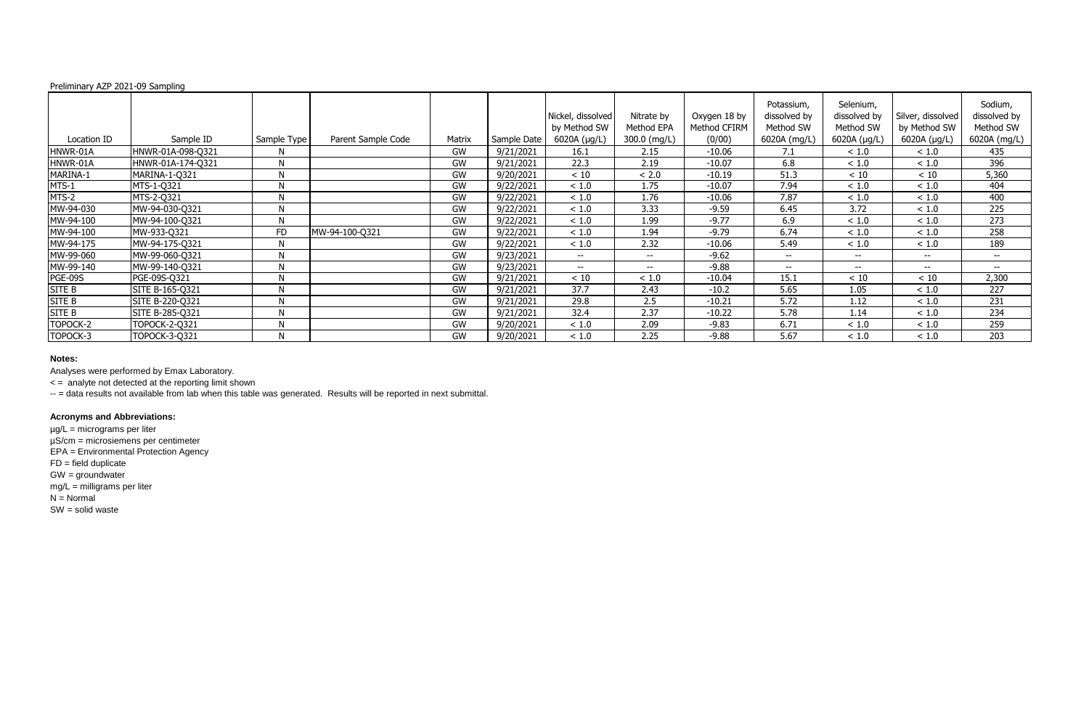Analyses were performed by Emax Laboratory.

< = analyte not detected at the reporting limit shown

-- = data results not available from lab when this table was generated. Results will be reported in next submittal.

# **Acronyms and Abbreviations:**

| Preliminary AZP 2021-09 Sampling |                      |             |                    |        |             |                                   |                          |                              |                                         |                                        |                                   |                                      |
|----------------------------------|----------------------|-------------|--------------------|--------|-------------|-----------------------------------|--------------------------|------------------------------|-----------------------------------------|----------------------------------------|-----------------------------------|--------------------------------------|
|                                  |                      |             |                    |        |             | Nickel, dissolved<br>by Method SW | Nitrate by<br>Method EPA | Oxygen 18 by<br>Method CFIRM | Potassium,<br>dissolved by<br>Method SW | Selenium,<br>dissolved by<br>Method SW | Silver, dissolved<br>by Method SW | Sodium,<br>dissolved by<br>Method SW |
| Location ID                      | Sample ID            | Sample Type | Parent Sample Code | Matrix | Sample Date | 6020A (µg/L)                      | 300.0 (mg/L)             | (0/00)                       | 6020A (mg/L)                            | 6020A (µg/L)                           | 6020A (µg/L)                      | 6020A (mg/L)                         |
| HNWR-01A                         | HNWR-01A-098-Q321    | N           |                    | GW     | 9/21/2021   | 16.1                              | 2.15                     | $-10.06$                     | 7.1                                     | < 1.0                                  | ~1.0                              | 435                                  |
| HNWR-01A                         | HNWR-01A-174-Q321    | N           |                    | GW     | 9/21/2021   | 22.3                              | 2.19                     | $-10.07$                     | 6.8                                     | < 1.0                                  | ~1.0                              | 396                                  |
| MARINA-1                         | MARINA-1-Q321        | N           |                    | GW     | 9/20/2021   | $<10$                             | < 2.0                    | $-10.19$                     | 51.3                                    | $<10$                                  | $<10$                             | 5,360                                |
| MTS-1                            | MTS-1-Q321           | N           |                    | GW     | 9/22/2021   | ~1.0                              | 1.75                     | $-10.07$                     | 7.94                                    | < 1.0                                  | ~1.0                              | 404                                  |
| MTS-2                            | MTS-2-Q321           | N           |                    | GW     | 9/22/2021   | < 1.0                             | 1.76                     | $-10.06$                     | 7.87                                    | < 1.0                                  | ~1.0                              | 400                                  |
| MW-94-030                        | MW-94-030-Q321       | N           |                    | GW     | 9/22/2021   | < 1.0                             | 3.33                     | $-9.59$                      | 6.45                                    | 3.72                                   | ~1.0                              | 225                                  |
| MW-94-100                        | MW-94-100-Q321       | N           |                    | GW     | 9/22/2021   | < 1.0                             | 1.99                     | $-9.77$                      | 6.9                                     | < 1.0                                  | $<1.0$                            | 273                                  |
| MW-94-100                        | MW-933-Q321          | <b>FD</b>   | MW-94-100-Q321     | GW     | 9/22/2021   | ~1.0                              | 1.94                     | $-9.79$                      | 6.74                                    | < 1.0                                  | ~1.0                              | 258                                  |
| MW-94-175                        | MW-94-175-Q321       | N           |                    | GW     | 9/22/2021   | < 1.0                             | 2.32                     | $-10.06$                     | 5.49                                    | < 1.0                                  | < 1.0                             | 189                                  |
| MW-99-060                        | MW-99-060-Q321       | N           |                    | GW     | 9/23/2021   | $--$                              | $- -$                    | $-9.62$                      | $--$                                    | $--$                                   | $--$                              | $-  \,$                              |
| MW-99-140                        | MW-99-140-Q321       | N           |                    | GW     | 9/23/2021   | $--$                              | --                       | $-9.88$                      | $- -$                                   | $-$                                    | $- -$                             | $-$                                  |
| PGE-09S                          | PGE-09S-Q321         | N           |                    | GW     | 9/21/2021   | < 10                              | < 1.0                    | $-10.04$                     | 15.1                                    | < 10                                   | < 10                              | 2,300                                |
| <b>SITE B</b>                    | SITE B-165-Q321      | N           |                    | GW     | 9/21/2021   | 37.7                              | 2.43                     | $-10.2$                      | 5.65                                    | 1.05                                   | < 1.0                             | 227                                  |
| SITE B                           | SITE B-220-Q321      | N           |                    | GW     | 9/21/2021   | 29.8                              | 2.5                      | $-10.21$                     | 5.72                                    | 1.12                                   | ~1.0                              | 231                                  |
| <b>SITE B</b>                    | SITE B-285-Q321      | N           |                    | GW     | 9/21/2021   | 32.4                              | 2.37                     | $-10.22$                     | 5.78                                    | 1.14                                   | < 1.0                             | 234                                  |
| TOPOCK-2                         | <b>TOPOCK-2-Q321</b> | N           |                    | GW     | 9/20/2021   | < 1.0                             | 2.09                     | $-9.83$                      | 6.71                                    | < 1.0                                  | < 1.0                             | 259                                  |
| TOPOCK-3                         | <b>TOPOCK-3-Q321</b> | N           |                    | GW     | 9/20/2021   | < 1.0                             | 2.25                     | $-9.88$                      | 5.67                                    | ~1.0                                   | ~1.0                              | 203                                  |